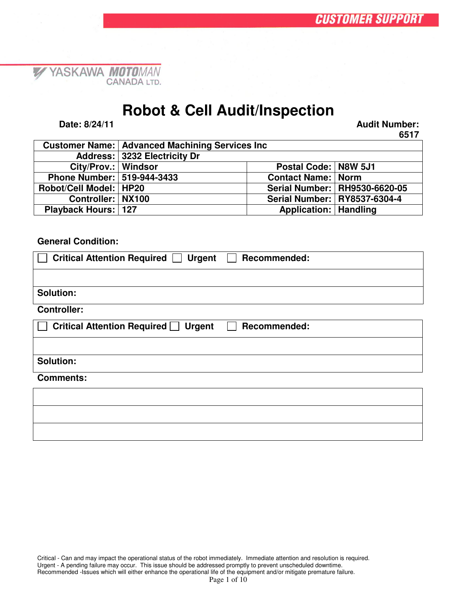### **Robot & Cell Audit/Inspection**

**Date: 8/24/11 Audit Number:**

 $\mathscr{L}$ 

YASKAWA MOTOMAN

**6517**

|                              | <b>Customer Name:   Advanced Machining Services Inc.</b> |                                |                                 |  |
|------------------------------|----------------------------------------------------------|--------------------------------|---------------------------------|--|
|                              | Address: 3232 Electricity Dr                             |                                |                                 |  |
| City/Prov.:   Windsor        |                                                          | Postal Code:   N8W 5J1         |                                 |  |
| Phone Number:   519-944-3433 |                                                          | <b>Contact Name: Norm</b>      |                                 |  |
| Robot/Cell Model:   HP20     |                                                          |                                | Serial Number:   RH9530-6620-05 |  |
| Controller:   NX100          |                                                          |                                | Serial Number:   RY8537-6304-4  |  |
| <b>Playback Hours: 127</b>   |                                                          | <b>Application:   Handling</b> |                                 |  |

#### **General Condition:**

| <b>Critical Attention Required</b><br><b>Urgent</b><br><b>Recommended:</b> |
|----------------------------------------------------------------------------|
|                                                                            |
| Solution:                                                                  |
| <b>Controller:</b>                                                         |
| <b>Critical Attention Required</b><br><b>Urgent</b><br><b>Recommended:</b> |
|                                                                            |
| <b>Solution:</b>                                                           |
| <b>Comments:</b>                                                           |
|                                                                            |
|                                                                            |
|                                                                            |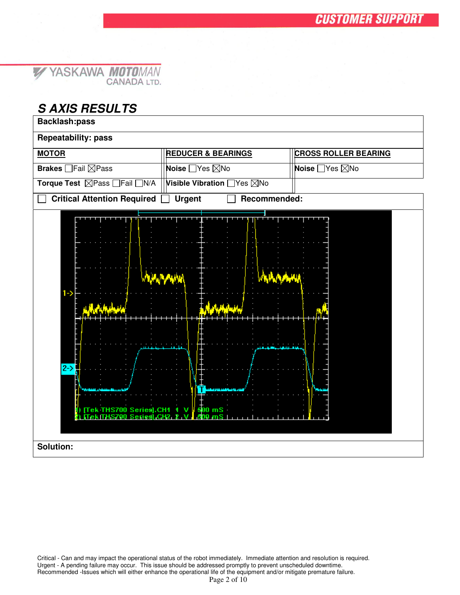|  | Y YASKAWA MOTOMAN  |
|--|--------------------|
|  | <b>CANADA LTD.</b> |

#### *S AXIS RESULTS*

| <b>Backlash:pass</b>                                                                                                  |                               |                             |  |  |  |  |  |
|-----------------------------------------------------------------------------------------------------------------------|-------------------------------|-----------------------------|--|--|--|--|--|
| <b>Repeatability: pass</b>                                                                                            |                               |                             |  |  |  |  |  |
| <b>MOTOR</b>                                                                                                          | <b>REDUCER &amp; BEARINGS</b> | <b>CROSS ROLLER BEARING</b> |  |  |  |  |  |
| Brakes <b>Fail Pass</b>                                                                                               | Noise □ Yes ⊠No               | Noise □Yes ⊠No              |  |  |  |  |  |
| Torque Test ⊠Pass <sub>■</sub> Fail N/A                                                                               | Visible Vibration □ Yes ⊠No   |                             |  |  |  |  |  |
| <b>Critical Attention Required</b>                                                                                    | <b>Urgent</b>                 |                             |  |  |  |  |  |
| Recommended:<br>$1 - \geq$<br>$2-$<br>Tek THS700 Series].CH1<br>500 mS<br>×.<br>v<br>500 mS<br>Series CH <sub>2</sub> |                               |                             |  |  |  |  |  |
| <b>Solution:</b>                                                                                                      |                               |                             |  |  |  |  |  |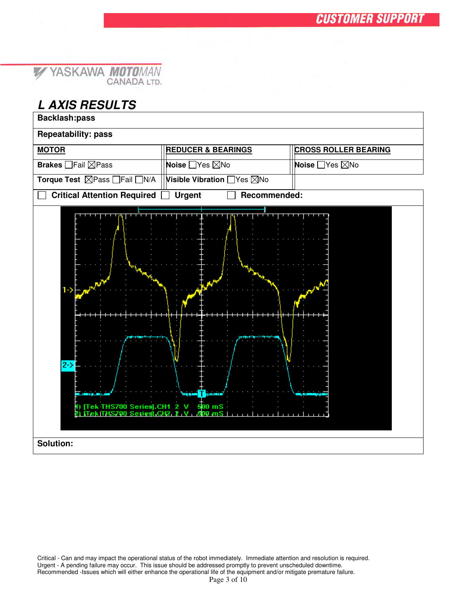#### *L AXIS RESULTS*

| <b>Backlash:pass</b>                                                                                                                          |                               |                             |  |  |  |  |
|-----------------------------------------------------------------------------------------------------------------------------------------------|-------------------------------|-----------------------------|--|--|--|--|
| <b>Repeatability: pass</b>                                                                                                                    |                               |                             |  |  |  |  |
| <b>MOTOR</b>                                                                                                                                  | <b>REDUCER &amp; BEARINGS</b> | <b>CROSS ROLLER BEARING</b> |  |  |  |  |
| <b>Brakes</b> □ Fail ⊠ Pass                                                                                                                   | Noise □Yes ⊠No                | Noise □Yes ⊠No              |  |  |  |  |
| Torque Test ⊠Pass <sub>■</sub> Fail N/A                                                                                                       | Visible Vibration □ Yes ⊠No   |                             |  |  |  |  |
| <b>Critical Attention Required</b>                                                                                                            | Recommended:<br><b>Urgent</b> |                             |  |  |  |  |
| $1 - \geq$<br>$2-$<br><b>T</b> warrant<br>أستجود<br>500 mS<br>THS700 Series CH1 2 V<br>∏ek<br>$500 \, \text{mS}$  <br>Series CH2 2 V<br>18700 |                               |                             |  |  |  |  |
| <b>Solution:</b>                                                                                                                              |                               |                             |  |  |  |  |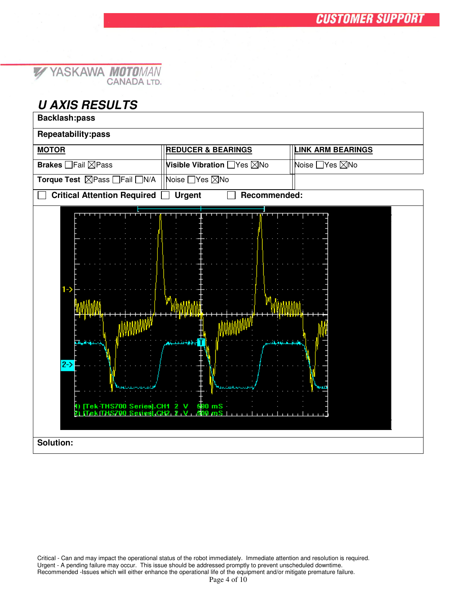#### YASKAWA MOTOMAN  $\mathbb{Z}$

#### *U AXIS RESULTS*

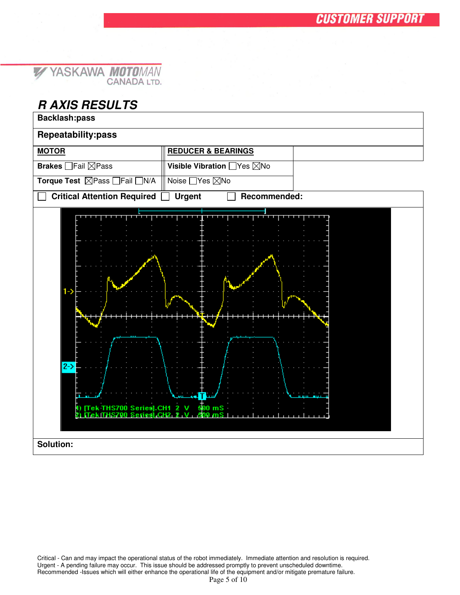

#### *R AXIS RESULTS*

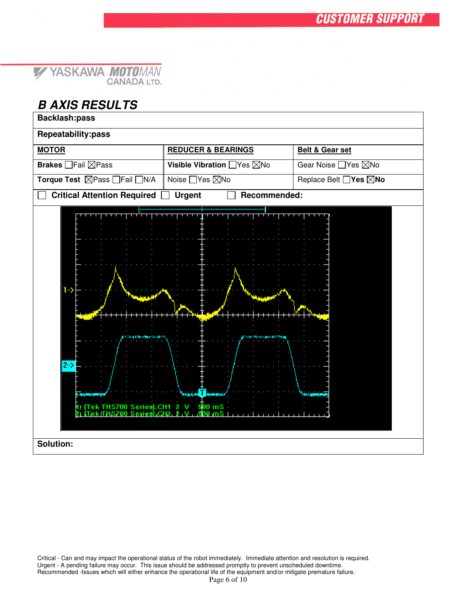#### *B AXIS RESULTS*

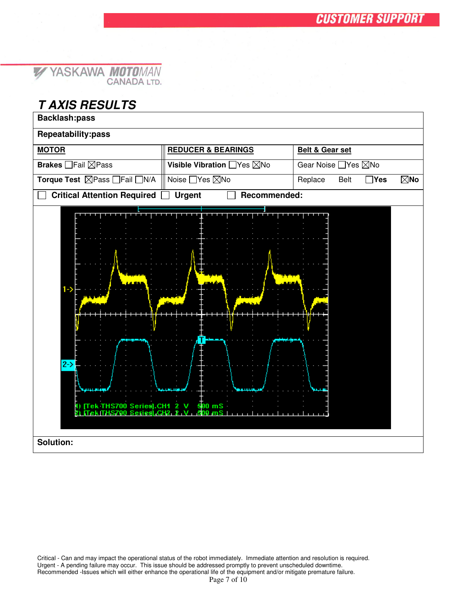#### *T AXIS RESULTS*

| Repeatability:pass<br><b>MOTOR</b><br><b>REDUCER &amp; BEARINGS</b><br><b>Belt &amp; Gear set</b><br><b>Brakes</b> □ Fail ⊠ Pass<br>Visible Vibration □ Yes ⊠No<br>Gear Noise □ Yes ⊠No<br>Torque Test ⊠Pass <sub>IFail</sub> N/A<br>Noise □ Yes ⊠No<br>$\boxtimes$ No<br>Replace<br>Belt<br>$\exists$ Yes<br><b>Critical Attention Required</b><br>Recommended:<br><b>Urgent</b><br>$1 - \ge$<br>$2-$<br>1) [Tek THS700 Series].CH1 2 V<br>$500$ mS<br>THS700 Seriesi GH2 2 V<br>$500$ mS $1$<br>Solution: | <b>Backlash:pass</b> |  |
|-------------------------------------------------------------------------------------------------------------------------------------------------------------------------------------------------------------------------------------------------------------------------------------------------------------------------------------------------------------------------------------------------------------------------------------------------------------------------------------------------------------|----------------------|--|
|                                                                                                                                                                                                                                                                                                                                                                                                                                                                                                             |                      |  |
|                                                                                                                                                                                                                                                                                                                                                                                                                                                                                                             |                      |  |
|                                                                                                                                                                                                                                                                                                                                                                                                                                                                                                             |                      |  |
|                                                                                                                                                                                                                                                                                                                                                                                                                                                                                                             |                      |  |
|                                                                                                                                                                                                                                                                                                                                                                                                                                                                                                             |                      |  |
|                                                                                                                                                                                                                                                                                                                                                                                                                                                                                                             |                      |  |
|                                                                                                                                                                                                                                                                                                                                                                                                                                                                                                             |                      |  |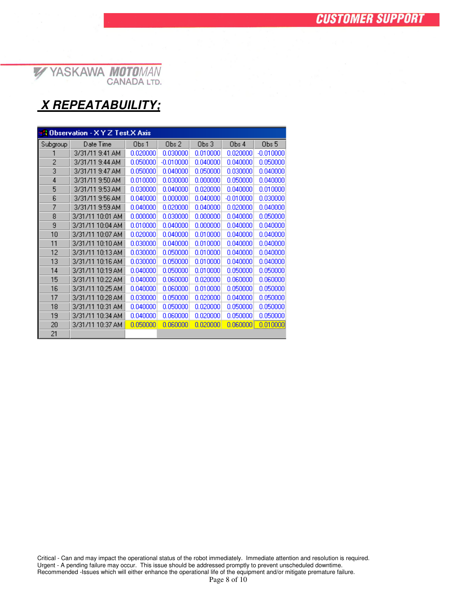### *X REPEATABUILITY;*

| <b>A Observation - X Y Z Test X Axis</b> |                  |          |             |                  |              |                  |
|------------------------------------------|------------------|----------|-------------|------------------|--------------|------------------|
| Subgroup                                 | Date Time        | Obs 1    | Obs 2       | Obs <sub>3</sub> | Obs 4        | Obs <sub>5</sub> |
|                                          | 3/31/11 9:41 AM  | 0.020000 | 0.030000    | 0.010000         | 0.020000     | $-0.010000$      |
| 2                                        | 3/31/11 9:44 AM  | 0.050000 | $-0.010000$ | 0.040000         | 0.040000     | 0.050000         |
| 3                                        | 3/31/11 9:47 AM  | 0.050000 | 0.040000    | 0.050000         | 0.030000     | 0.040000         |
| 4                                        | 3/31/11 9:50 AM  | 0.010000 | 0.030000    | 0.000000         | 0.050000     | 0.040000         |
| 5                                        | 3/31/11 9:53 AM  | 0.030000 | 0.040000    | 0.020000         | 0.040000     | 0.010000         |
| 6                                        | 3/31/11 9:56 AM  | 0.040000 | 0.000000    | 0.040000         | $-0.010000$  | 0.030000         |
| 7                                        | 3/31/11 9:59 AM  | 0.040000 | 0.020000    | 0.040000         | 0.020000     | 0.040000         |
| 8                                        | 3/31/11 10:01 AM | 0.000000 | 0.030000    | 0.000000         | 0.040000     | 0.050000         |
| 9                                        | 3/31/11 10:04 AM | 0.010000 | 0.040000    | 0.000000         | 0.040000     | 0.040000         |
| 10                                       | 3/31/11 10:07 AM | 0.020000 | 0.040000    | 0.010000         | 0.040000     | 0.040000         |
| 11                                       | 3/31/11 10:10 AM | 0.030000 | 0.040000    | 0.010000         | 0.040000     | 0.040000         |
| 12                                       | 3/31/11 10:13 AM | 0.030000 | 0.050000    | 0.010000         | 0.040000     | 0.040000         |
| 13                                       | 3/31/11 10:16 AM | 0.030000 | 0.050000    | 0.010000         | 0.040000     | 0.040000         |
| 14                                       | 3/31/11 10:19 AM | 0.040000 | 0.050000    | 0.010000         | 0.050000     | 0.050000         |
| 15                                       | 3/31/11 10:22 AM | 0.040000 | 0.060000    | 0.020000         | 0.060000     | 0.060000         |
| 16                                       | 3/31/11 10:25 AM | 0.040000 | 0.060000    | 0.010000         | 0.050000     | 0.050000         |
| 17                                       | 3/31/11 10:28 AM | 0.030000 | 0.050000    | 0.020000         | 0.040000     | 0.050000         |
| 18                                       | 3/31/11 10:31 AM | 0.040000 | 0.050000    | 0.020000         | 0.050000     | 0.050000         |
| 19                                       | 3/31/11 10:34 AM | 0.040000 | 0.060000    | 0.020000         | 0.050000     | 0.050000         |
| 20                                       | 3/31/11 10:37 AM | 0.050000 | 0.060000    | 0.020000         | $0.060000$ : | 0.010000         |
| 21                                       |                  |          |             |                  |              |                  |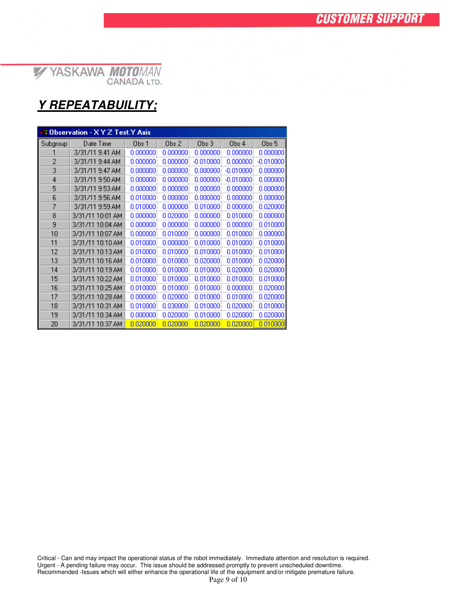#### *Y REPEATABUILITY;*

| <b>A Observation - X Y Z Test.Y Axis</b> |                  |          |                  |             |             |                  |
|------------------------------------------|------------------|----------|------------------|-------------|-------------|------------------|
| Subgroup                                 | Date Time        | Obs 1    | Obs <sub>2</sub> | Obs 3       | Obs 4       | Obs <sub>5</sub> |
|                                          | 3/31/11 9:41 AM  | 0.000000 | 0.000000         | 0.000000    | 0.000000    | 0.000000         |
| 2                                        | 3/31/11 9:44 AM  | 0.000000 | 0.000000         | $-0.010000$ | 0.000000    | $-0.010000$      |
| 3                                        | 3/31/11 9:47 AM  | 0.000000 | 0.000000         | 0.000000    | $-0.010000$ | 0.000000         |
| $\overline{4}$                           | 3/31/11 9:50 AM  | 0.000000 | 0.000000         | 0.000000    | $-0.010000$ | 0.000000         |
| 5                                        | 3/31/11 9:53 AM  | 0.000000 | 0.000000         | 0.000000    | 0.000000    | 0.000000         |
| 6                                        | 3/31/11 9:56 AM  | 0.010000 | 0.000000         | 0.000000    | 0.000000    | 0.000000         |
| 7                                        | 3/31/11 9:59 AM  | 0.010000 | 0.000000         | 0.010000    | 0.000000    | 0.020000         |
| 8                                        | 3/31/11 10:01 AM | 0.000000 | 0.020000         | 0.000000    | 0.010000    | 0.000000         |
| 9                                        | 3/31/11 10:04 AM | 0.000000 | 0.000000         | 0.000000    | 0.000000    | 0.010000         |
| 10                                       | 3/31/11 10:07 AM | 0.000000 | 0.010000         | 0.000000    | 0.010000    | 0.000000         |
| 11                                       | 3/31/11 10:10 AM | 0.010000 | 0.000000         | 0.010000    | 0.010000    | 0.010000         |
| 12                                       | 3/31/11 10:13 AM | 0.010000 | 0.010000         | 0.010000    | 0.010000    | 0.010000         |
| 13                                       | 3/31/11 10:16 AM | 0.010000 | 0.010000         | 0.020000    | 0.010000    | 0.020000         |
| 14                                       | 3/31/11 10:19 AM | 0.010000 | 0.010000         | 0.010000    | 0.020000    | 0.020000         |
| 15                                       | 3/31/11 10:22 AM | 0.010000 | 0.010000         | 0.010000    | 0.010000    | 0.010000         |
| 16                                       | 3/31/11 10:25 AM | 0.010000 | 0.010000         | 0.010000    | 0.000000    | 0.020000         |
| 17                                       | 3/31/11 10:28 AM | 0.000000 | 0.020000         | 0.010000    | 0.010000    | 0.020000         |
| 18                                       | 3/31/11 10:31 AM | 0.010000 | 0.030000         | 0.010000    | 0.020000    | 0.010000         |
| 19                                       | 3/31/11 10:34 AM | 0.000000 | 0.020000         | 0.010000    | 0.020000    | 0.020000         |
| 20                                       | 3/31/11 10:37 AM | 0.020000 | 0.020000         | 0.020000    | 0.020000    | 0.010000         |